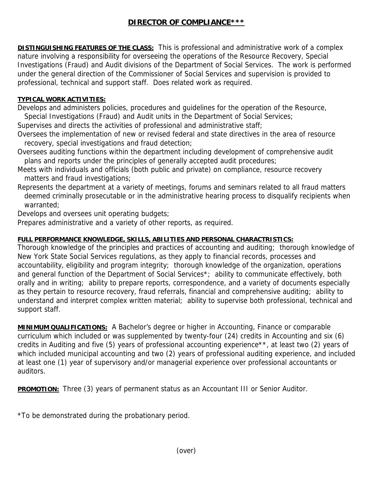## **DIRECTOR OF COMPLIANCE\*\*\***

**DISTINGUISHING FEATURES OF THE CLASS:** This is professional and administrative work of a complex nature involving a responsibility for overseeing the operations of the Resource Recovery, Special Investigations (Fraud) and Audit divisions of the Department of Social Services. The work is performed under the general direction of the Commissioner of Social Services and supervision is provided to professional, technical and support staff. Does related work as required.

## **TYPICAL WORK ACTIVITIES:**

Develops and administers policies, procedures and guidelines for the operation of the Resource,

Special Investigations (Fraud) and Audit units in the Department of Social Services;

Supervises and directs the activities of professional and administrative staff;

- Oversees the implementation of new or revised federal and state directives in the area of resource recovery, special investigations and fraud detection;
- Oversees auditing functions within the department including development of comprehensive audit plans and reports under the principles of generally accepted audit procedures;
- Meets with individuals and officials (both public and private) on compliance, resource recovery matters and fraud investigations;
- Represents the department at a variety of meetings, forums and seminars related to all fraud matters deemed criminally prosecutable or in the administrative hearing process to disqualify recipients when warranted;

Develops and oversees unit operating budgets;

Prepares administrative and a variety of other reports, as required.

## **FULL PERFORMANCE KNOWLEDGE, SKILLS, ABILITIES AND PERSONAL CHARACTRISTICS:**

Thorough knowledge of the principles and practices of accounting and auditing; thorough knowledge of New York State Social Services regulations, as they apply to financial records, processes and accountability, eligibility and program integrity; thorough knowledge of the organization, operations and general function of the Department of Social Services\*; ability to communicate effectively, both orally and in writing; ability to prepare reports, correspondence, and a variety of documents especially as they pertain to resource recovery, fraud referrals, financial and comprehensive auditing; ability to understand and interpret complex written material; ability to supervise both professional, technical and support staff.

**MINIMUM QUALIFICATIONS:** A Bachelor's degree or higher in Accounting, Finance or comparable curriculum which included or was supplemented by twenty-four (24) credits in Accounting and six (6) credits in Auditing and five (5) years of professional accounting experience\*\*, at least two (2) years of which included municipal accounting and two (2) years of professional auditing experience, and included at least one (1) year of supervisory and/or managerial experience over professional accountants or auditors.

**PROMOTION:** Three (3) years of permanent status as an Accountant III or Senior Auditor.

\*To be demonstrated during the probationary period.